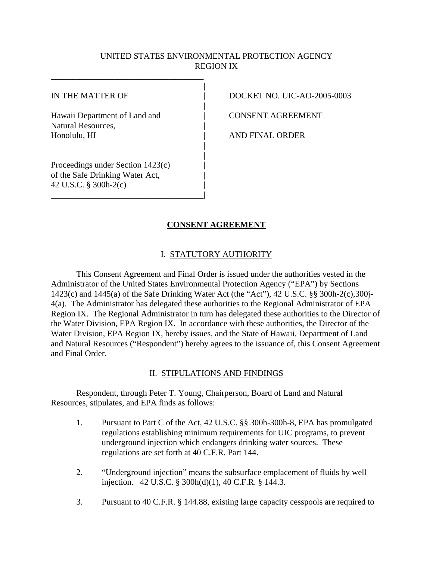## UNITED STATES ENVIRONMENTAL PROTECTION AGENCY REGION IX

|

|

| |

Hawaii Department of Land and  $\qquad$  | CONSENT AGREEMENT Natural Resources, | Honolulu, HI | AND FINAL ORDER

Proceedings under Section 1423(c) | of the Safe Drinking Water Act, | 42 U.S.C. § 300h-2(c) |

\_\_\_\_\_\_\_\_\_\_\_\_\_\_\_\_\_\_\_\_\_\_\_\_\_\_\_\_\_\_\_\_\_\_\_\_|

\_\_\_\_\_\_\_\_\_\_\_\_\_\_\_\_\_\_\_\_\_\_\_\_\_\_\_\_\_\_\_\_\_\_\_\_

IN THE MATTER OF  $\vert$  DOCKET NO. UIC-AO-2005-0003

# **CONSENT AGREEMENT**

## I. STATUTORY AUTHORITY

This Consent Agreement and Final Order is issued under the authorities vested in the Administrator of the United States Environmental Protection Agency ("EPA") by Sections 1423(c) and 1445(a) of the Safe Drinking Water Act (the "Act"), 42 U.S.C. §§ 300h-2(c),300j-4(a). The Administrator has delegated these authorities to the Regional Administrator of EPA Region IX. The Regional Administrator in turn has delegated these authorities to the Director of the Water Division, EPA Region IX. In accordance with these authorities, the Director of the Water Division, EPA Region IX, hereby issues, and the State of Hawaii, Department of Land and Natural Resources ("Respondent") hereby agrees to the issuance of, this Consent Agreement and Final Order.

## II. STIPULATIONS AND FINDINGS

Respondent, through Peter T. Young, Chairperson, Board of Land and Natural Resources, stipulates, and EPA finds as follows:

- 1. Pursuant to Part C of the Act, 42 U.S.C. §§ 300h-300h-8, EPA has promulgated regulations establishing minimum requirements for UIC programs, to prevent underground injection which endangers drinking water sources. These regulations are set forth at 40 C.F.R. Part 144.
- 2. "Underground injection" means the subsurface emplacement of fluids by well injection. 42 U.S.C. § 300h(d)(1), 40 C.F.R. § 144.3.
- 3. Pursuant to 40 C.F.R. § 144.88, existing large capacity cesspools are required to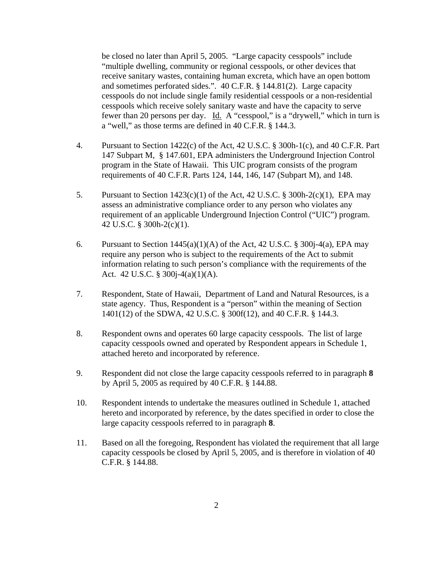be closed no later than April 5, 2005. "Large capacity cesspools" include "multiple dwelling, community or regional cesspools, or other devices that receive sanitary wastes, containing human excreta, which have an open bottom and sometimes perforated sides.". 40 C.F.R. § 144.81(2). Large capacity cesspools do not include single family residential cesspools or a non-residential cesspools which receive solely sanitary waste and have the capacity to serve fewer than 20 persons per day. Id. A "cesspool," is a "drywell," which in turn is a "well," as those terms are defined in 40 C.F.R. § 144.3.

- 4. Pursuant to Section 1422(c) of the Act, 42 U.S.C. § 300h-1(c), and 40 C.F.R. Part 147 Subpart M, § 147.601, EPA administers the Underground Injection Control program in the State of Hawaii. This UIC program consists of the program requirements of 40 C.F.R. Parts 124, 144, 146, 147 (Subpart M), and 148.
- 5. Pursuant to Section  $1423(c)(1)$  of the Act, 42 U.S.C. § 300h-2(c)(1), EPA may assess an administrative compliance order to any person who violates any requirement of an applicable Underground Injection Control ("UIC") program. 42 U.S.C. § 300h-2(c)(1).
- 6. Pursuant to Section  $1445(a)(1)(A)$  of the Act, 42 U.S.C. § 300 $j-4(a)$ , EPA may require any person who is subject to the requirements of the Act to submit information relating to such person's compliance with the requirements of the Act. 42 U.S.C. § 300j-4(a)(1)(A).
- 7. Respondent, State of Hawaii, Department of Land and Natural Resources, is a state agency. Thus, Respondent is a "person" within the meaning of Section 1401(12) of the SDWA, 42 U.S.C. § 300f(12), and 40 C.F.R. § 144.3.
- 8. Respondent owns and operates 60 large capacity cesspools. The list of large capacity cesspools owned and operated by Respondent appears in Schedule 1, attached hereto and incorporated by reference.
- 9. Respondent did not close the large capacity cesspools referred to in paragraph **8**  by April 5, 2005 as required by 40 C.F.R. § 144.88.
- 10. Respondent intends to undertake the measures outlined in Schedule 1, attached hereto and incorporated by reference, by the dates specified in order to close the large capacity cesspools referred to in paragraph **8**.
- 11. Based on all the foregoing, Respondent has violated the requirement that all large capacity cesspools be closed by April 5, 2005, and is therefore in violation of 40 C.F.R. § 144.88.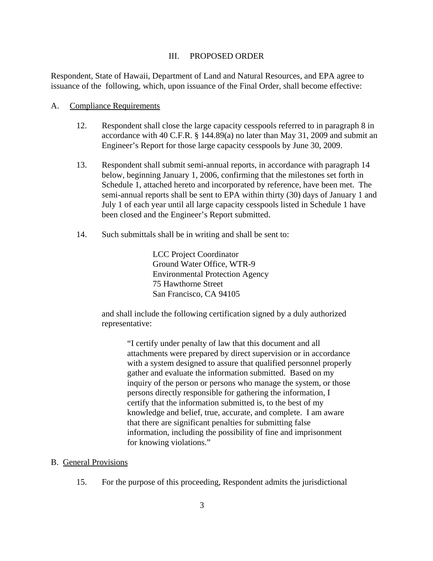#### III. PROPOSED ORDER

Respondent, State of Hawaii, Department of Land and Natural Resources, and EPA agree to issuance of the following, which, upon issuance of the Final Order, shall become effective:

#### A. Compliance Requirements

- 12. Respondent shall close the large capacity cesspools referred to in paragraph 8 in accordance with 40 C.F.R. § 144.89(a) no later than May 31, 2009 and submit an Engineer's Report for those large capacity cesspools by June 30, 2009.
- 13. Respondent shall submit semi-annual reports, in accordance with paragraph 14 below, beginning January 1, 2006, confirming that the milestones set forth in Schedule 1, attached hereto and incorporated by reference, have been met. The semi-annual reports shall be sent to EPA within thirty (30) days of January 1 and July 1 of each year until all large capacity cesspools listed in Schedule 1 have been closed and the Engineer's Report submitted.
- 14. Such submittals shall be in writing and shall be sent to:

LCC Project Coordinator Ground Water Office, WTR-9 Environmental Protection Agency 75 Hawthorne Street San Francisco, CA 94105

and shall include the following certification signed by a duly authorized representative:

> "I certify under penalty of law that this document and all attachments were prepared by direct supervision or in accordance with a system designed to assure that qualified personnel properly gather and evaluate the information submitted. Based on my inquiry of the person or persons who manage the system, or those persons directly responsible for gathering the information, I certify that the information submitted is, to the best of my knowledge and belief, true, accurate, and complete. I am aware that there are significant penalties for submitting false information, including the possibility of fine and imprisonment for knowing violations."

#### B. General Provisions

15. For the purpose of this proceeding, Respondent admits the jurisdictional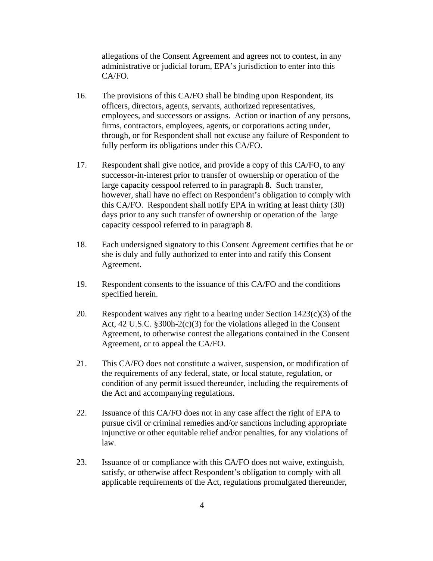allegations of the Consent Agreement and agrees not to contest, in any administrative or judicial forum, EPA's jurisdiction to enter into this CA/FO.

- 16. The provisions of this CA/FO shall be binding upon Respondent, its officers, directors, agents, servants, authorized representatives, employees, and successors or assigns. Action or inaction of any persons, firms, contractors, employees, agents, or corporations acting under, through, or for Respondent shall not excuse any failure of Respondent to fully perform its obligations under this CA/FO.
- 17. Respondent shall give notice, and provide a copy of this CA/FO, to any successor-in-interest prior to transfer of ownership or operation of the large capacity cesspool referred to in paragraph **8**. Such transfer, however, shall have no effect on Respondent's obligation to comply with this CA/FO. Respondent shall notify EPA in writing at least thirty (30) days prior to any such transfer of ownership or operation of the large capacity cesspool referred to in paragraph **8**.
- 18. Each undersigned signatory to this Consent Agreement certifies that he or she is duly and fully authorized to enter into and ratify this Consent Agreement.
- 19. Respondent consents to the issuance of this CA/FO and the conditions specified herein.
- 20. Respondent waives any right to a hearing under Section  $1423(c)(3)$  of the Act, 42 U.S.C. §300h-2(c)(3) for the violations alleged in the Consent Agreement, to otherwise contest the allegations contained in the Consent Agreement, or to appeal the CA/FO.
- 21. This CA/FO does not constitute a waiver, suspension, or modification of the requirements of any federal, state, or local statute, regulation, or condition of any permit issued thereunder, including the requirements of the Act and accompanying regulations.
- 22. Issuance of this CA/FO does not in any case affect the right of EPA to pursue civil or criminal remedies and/or sanctions including appropriate injunctive or other equitable relief and/or penalties, for any violations of law.
- 23. Issuance of or compliance with this CA/FO does not waive, extinguish, satisfy, or otherwise affect Respondent's obligation to comply with all applicable requirements of the Act, regulations promulgated thereunder,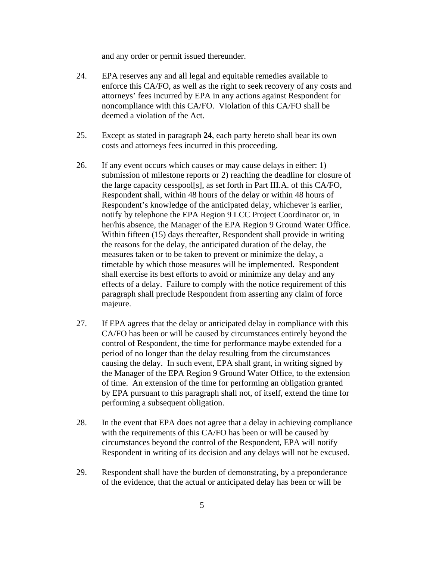and any order or permit issued thereunder.

- 24. EPA reserves any and all legal and equitable remedies available to enforce this CA/FO, as well as the right to seek recovery of any costs and attorneys' fees incurred by EPA in any actions against Respondent for noncompliance with this CA/FO. Violation of this CA/FO shall be deemed a violation of the Act.
- 25. Except as stated in paragraph **24**, each party hereto shall bear its own costs and attorneys fees incurred in this proceeding.
- 26. If any event occurs which causes or may cause delays in either: 1) submission of milestone reports or 2) reaching the deadline for closure of the large capacity cesspool[s], as set forth in Part III.A. of this CA/FO, Respondent shall, within 48 hours of the delay or within 48 hours of Respondent's knowledge of the anticipated delay, whichever is earlier, notify by telephone the EPA Region 9 LCC Project Coordinator or, in her/his absence, the Manager of the EPA Region 9 Ground Water Office. Within fifteen (15) days thereafter, Respondent shall provide in writing the reasons for the delay, the anticipated duration of the delay, the measures taken or to be taken to prevent or minimize the delay, a timetable by which those measures will be implemented. Respondent shall exercise its best efforts to avoid or minimize any delay and any effects of a delay. Failure to comply with the notice requirement of this paragraph shall preclude Respondent from asserting any claim of force majeure.
- 27. If EPA agrees that the delay or anticipated delay in compliance with this CA/FO has been or will be caused by circumstances entirely beyond the control of Respondent, the time for performance maybe extended for a period of no longer than the delay resulting from the circumstances causing the delay. In such event, EPA shall grant, in writing signed by the Manager of the EPA Region 9 Ground Water Office, to the extension of time. An extension of the time for performing an obligation granted by EPA pursuant to this paragraph shall not, of itself, extend the time for performing a subsequent obligation.
- 28. In the event that EPA does not agree that a delay in achieving compliance with the requirements of this CA/FO has been or will be caused by circumstances beyond the control of the Respondent, EPA will notify Respondent in writing of its decision and any delays will not be excused.
- 29. Respondent shall have the burden of demonstrating, by a preponderance of the evidence, that the actual or anticipated delay has been or will be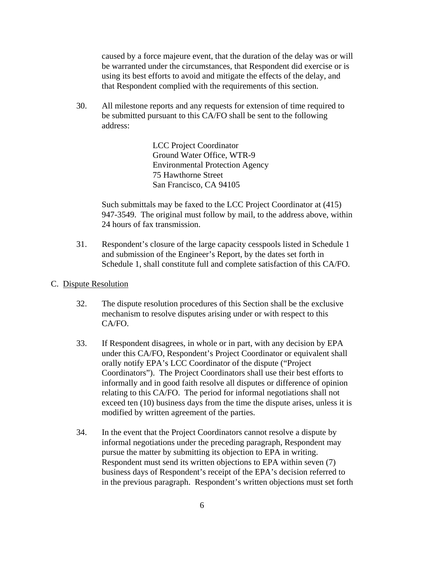caused by a force majeure event, that the duration of the delay was or will be warranted under the circumstances, that Respondent did exercise or is using its best efforts to avoid and mitigate the effects of the delay, and that Respondent complied with the requirements of this section.

30. All milestone reports and any requests for extension of time required to be submitted pursuant to this CA/FO shall be sent to the following address:

> LCC Project Coordinator Ground Water Office, WTR-9 Environmental Protection Agency 75 Hawthorne Street San Francisco, CA 94105

Such submittals may be faxed to the LCC Project Coordinator at (415) 947-3549. The original must follow by mail, to the address above, within 24 hours of fax transmission.

- 31. Respondent's closure of the large capacity cesspools listed in Schedule 1 and submission of the Engineer's Report, by the dates set forth in Schedule 1, shall constitute full and complete satisfaction of this CA/FO.
- C. Dispute Resolution
	- 32. The dispute resolution procedures of this Section shall be the exclusive mechanism to resolve disputes arising under or with respect to this CA/FO.
	- 33. If Respondent disagrees, in whole or in part, with any decision by EPA under this CA/FO, Respondent's Project Coordinator or equivalent shall orally notify EPA's LCC Coordinator of the dispute ("Project Coordinators"). The Project Coordinators shall use their best efforts to informally and in good faith resolve all disputes or difference of opinion relating to this CA/FO. The period for informal negotiations shall not exceed ten (10) business days from the time the dispute arises, unless it is modified by written agreement of the parties.
	- 34. In the event that the Project Coordinators cannot resolve a dispute by informal negotiations under the preceding paragraph, Respondent may pursue the matter by submitting its objection to EPA in writing. Respondent must send its written objections to EPA within seven (7) business days of Respondent's receipt of the EPA's decision referred to in the previous paragraph. Respondent's written objections must set forth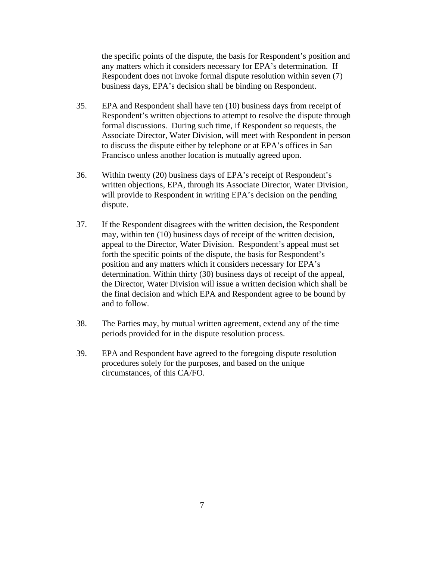the specific points of the dispute, the basis for Respondent's position and any matters which it considers necessary for EPA's determination. If Respondent does not invoke formal dispute resolution within seven (7) business days, EPA's decision shall be binding on Respondent.

- 35. EPA and Respondent shall have ten (10) business days from receipt of Respondent's written objections to attempt to resolve the dispute through formal discussions. During such time, if Respondent so requests, the Associate Director, Water Division, will meet with Respondent in person to discuss the dispute either by telephone or at EPA's offices in San Francisco unless another location is mutually agreed upon.
- 36. Within twenty (20) business days of EPA's receipt of Respondent's written objections, EPA, through its Associate Director, Water Division, will provide to Respondent in writing EPA's decision on the pending dispute.
- 37. If the Respondent disagrees with the written decision, the Respondent may, within ten (10) business days of receipt of the written decision, appeal to the Director, Water Division. Respondent's appeal must set forth the specific points of the dispute, the basis for Respondent's position and any matters which it considers necessary for EPA's determination. Within thirty (30) business days of receipt of the appeal, the Director, Water Division will issue a written decision which shall be the final decision and which EPA and Respondent agree to be bound by and to follow.
- 38. The Parties may, by mutual written agreement, extend any of the time periods provided for in the dispute resolution process.
- 39. EPA and Respondent have agreed to the foregoing dispute resolution procedures solely for the purposes, and based on the unique circumstances, of this CA/FO.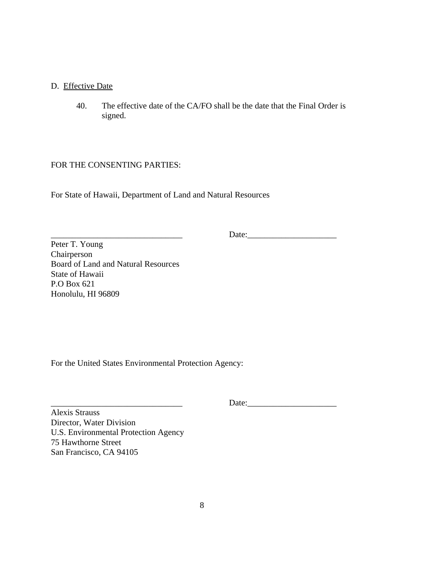### D. Effective Date

40. The effective date of the CA/FO shall be the date that the Final Order is signed.

### FOR THE CONSENTING PARTIES:

For State of Hawaii, Department of Land and Natural Resources

\_\_\_\_\_\_\_\_\_\_\_\_\_\_\_\_\_\_\_\_\_\_\_\_\_\_\_\_\_\_\_ Date:\_\_\_\_\_\_\_\_\_\_\_\_\_\_\_\_\_\_\_\_\_

Peter T. Young Chairperson Board of Land and Natural Resources State of Hawaii P.O Box 621 Honolulu, HI 96809

For the United States Environmental Protection Agency:

\_\_\_\_\_\_\_\_\_\_\_\_\_\_\_\_\_\_\_\_\_\_\_\_\_\_\_\_\_\_\_ Date:\_\_\_\_\_\_\_\_\_\_\_\_\_\_\_\_\_\_\_\_\_

Alexis Strauss Director, Water Division U.S. Environmental Protection Agency 75 Hawthorne Street San Francisco, CA 94105